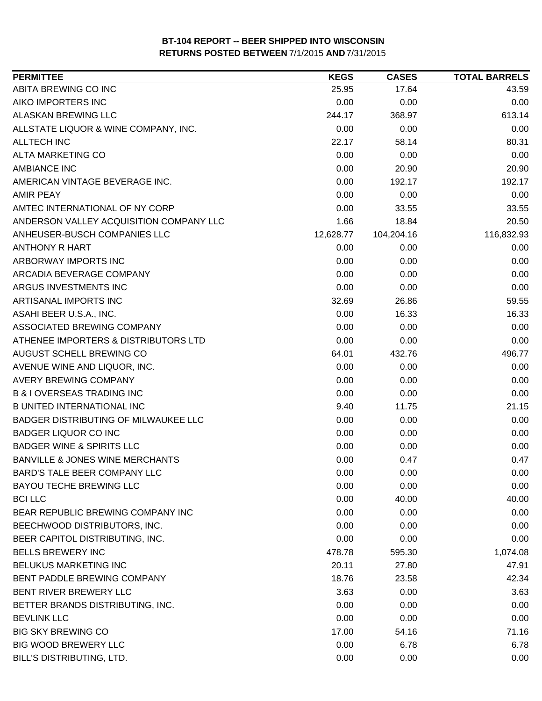| <b>PERMITTEE</b>                            | <b>KEGS</b> | <b>CASES</b> | <b>TOTAL BARRELS</b> |
|---------------------------------------------|-------------|--------------|----------------------|
| ABITA BREWING CO INC                        | 25.95       | 17.64        | 43.59                |
| AIKO IMPORTERS INC                          | 0.00        | 0.00         | 0.00                 |
| <b>ALASKAN BREWING LLC</b>                  | 244.17      | 368.97       | 613.14               |
| ALLSTATE LIQUOR & WINE COMPANY, INC.        | 0.00        | 0.00         | 0.00                 |
| <b>ALLTECH INC</b>                          | 22.17       | 58.14        | 80.31                |
| ALTA MARKETING CO                           | 0.00        | 0.00         | 0.00                 |
| <b>AMBIANCE INC</b>                         | 0.00        | 20.90        | 20.90                |
| AMERICAN VINTAGE BEVERAGE INC.              | 0.00        | 192.17       | 192.17               |
| <b>AMIR PEAY</b>                            | 0.00        | 0.00         | 0.00                 |
| AMTEC INTERNATIONAL OF NY CORP              | 0.00        | 33.55        | 33.55                |
| ANDERSON VALLEY ACQUISITION COMPANY LLC     | 1.66        | 18.84        | 20.50                |
| ANHEUSER-BUSCH COMPANIES LLC                | 12,628.77   | 104,204.16   | 116,832.93           |
| <b>ANTHONY R HART</b>                       | 0.00        | 0.00         | 0.00                 |
| ARBORWAY IMPORTS INC                        | 0.00        | 0.00         | 0.00                 |
| ARCADIA BEVERAGE COMPANY                    | 0.00        | 0.00         | 0.00                 |
| ARGUS INVESTMENTS INC                       | 0.00        | 0.00         | 0.00                 |
| ARTISANAL IMPORTS INC                       | 32.69       | 26.86        | 59.55                |
| ASAHI BEER U.S.A., INC.                     | 0.00        | 16.33        | 16.33                |
| ASSOCIATED BREWING COMPANY                  | 0.00        | 0.00         | 0.00                 |
| ATHENEE IMPORTERS & DISTRIBUTORS LTD        | 0.00        | 0.00         | 0.00                 |
| AUGUST SCHELL BREWING CO                    | 64.01       | 432.76       | 496.77               |
| AVENUE WINE AND LIQUOR, INC.                | 0.00        | 0.00         | 0.00                 |
| <b>AVERY BREWING COMPANY</b>                | 0.00        | 0.00         | 0.00                 |
| <b>B &amp; I OVERSEAS TRADING INC</b>       | 0.00        | 0.00         | 0.00                 |
| <b>B UNITED INTERNATIONAL INC</b>           | 9.40        | 11.75        | 21.15                |
| <b>BADGER DISTRIBUTING OF MILWAUKEE LLC</b> | 0.00        | 0.00         | 0.00                 |
| <b>BADGER LIQUOR CO INC</b>                 | 0.00        | 0.00         | 0.00                 |
| <b>BADGER WINE &amp; SPIRITS LLC</b>        | 0.00        | 0.00         | 0.00                 |
| <b>BANVILLE &amp; JONES WINE MERCHANTS</b>  | 0.00        | 0.47         | 0.47                 |
| <b>BARD'S TALE BEER COMPANY LLC</b>         | 0.00        | 0.00         | 0.00                 |
| <b>BAYOU TECHE BREWING LLC</b>              | 0.00        | 0.00         | 0.00                 |
| <b>BCI LLC</b>                              | 0.00        | 40.00        | 40.00                |
| BEAR REPUBLIC BREWING COMPANY INC           | 0.00        | 0.00         | 0.00                 |
| BEECHWOOD DISTRIBUTORS, INC.                | 0.00        | 0.00         | 0.00                 |
| BEER CAPITOL DISTRIBUTING, INC.             | 0.00        | 0.00         | 0.00                 |
| <b>BELLS BREWERY INC</b>                    | 478.78      | 595.30       | 1,074.08             |
| BELUKUS MARKETING INC                       | 20.11       | 27.80        | 47.91                |
| <b>BENT PADDLE BREWING COMPANY</b>          | 18.76       | 23.58        | 42.34                |
| BENT RIVER BREWERY LLC                      | 3.63        | 0.00         | 3.63                 |
| BETTER BRANDS DISTRIBUTING, INC.            | 0.00        | 0.00         | 0.00                 |
| <b>BEVLINK LLC</b>                          | 0.00        | 0.00         | 0.00                 |
| <b>BIG SKY BREWING CO</b>                   | 17.00       | 54.16        | 71.16                |
| <b>BIG WOOD BREWERY LLC</b>                 | 0.00        | 6.78         | 6.78                 |
| BILL'S DISTRIBUTING, LTD.                   | 0.00        | 0.00         | 0.00                 |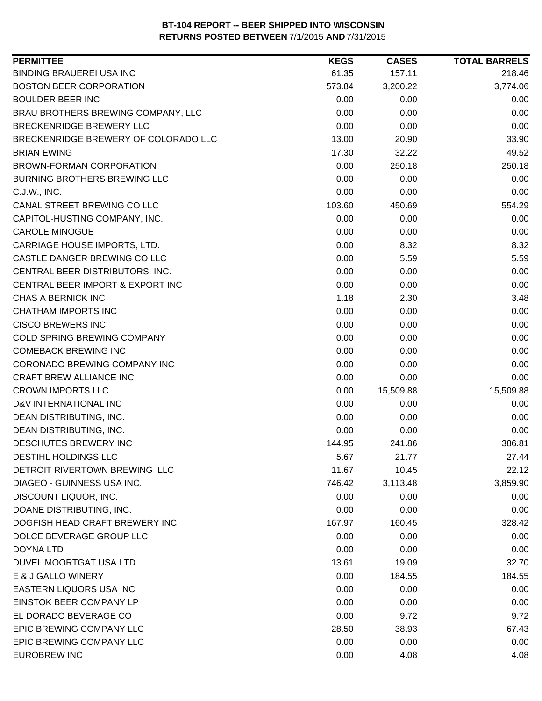| <b>PERMITTEE</b>                     | <b>KEGS</b> | <b>CASES</b> | <b>TOTAL BARRELS</b> |
|--------------------------------------|-------------|--------------|----------------------|
| <b>BINDING BRAUEREI USA INC</b>      | 61.35       | 157.11       | 218.46               |
| <b>BOSTON BEER CORPORATION</b>       | 573.84      | 3,200.22     | 3,774.06             |
| <b>BOULDER BEER INC</b>              | 0.00        | 0.00         | 0.00                 |
| BRAU BROTHERS BREWING COMPANY, LLC   | 0.00        | 0.00         | 0.00                 |
| BRECKENRIDGE BREWERY LLC             | 0.00        | 0.00         | 0.00                 |
| BRECKENRIDGE BREWERY OF COLORADO LLC | 13.00       | 20.90        | 33.90                |
| <b>BRIAN EWING</b>                   | 17.30       | 32.22        | 49.52                |
| <b>BROWN-FORMAN CORPORATION</b>      | 0.00        | 250.18       | 250.18               |
| <b>BURNING BROTHERS BREWING LLC</b>  | 0.00        | 0.00         | 0.00                 |
| C.J.W., INC.                         | 0.00        | 0.00         | 0.00                 |
| CANAL STREET BREWING CO LLC          | 103.60      | 450.69       | 554.29               |
| CAPITOL-HUSTING COMPANY, INC.        | 0.00        | 0.00         | 0.00                 |
| <b>CAROLE MINOGUE</b>                | 0.00        | 0.00         | 0.00                 |
| CARRIAGE HOUSE IMPORTS, LTD.         | 0.00        | 8.32         | 8.32                 |
| CASTLE DANGER BREWING CO LLC         | 0.00        | 5.59         | 5.59                 |
| CENTRAL BEER DISTRIBUTORS, INC.      | 0.00        | 0.00         | 0.00                 |
| CENTRAL BEER IMPORT & EXPORT INC     | 0.00        | 0.00         | 0.00                 |
| CHAS A BERNICK INC                   | 1.18        | 2.30         | 3.48                 |
| CHATHAM IMPORTS INC                  | 0.00        | 0.00         | 0.00                 |
| <b>CISCO BREWERS INC</b>             | 0.00        | 0.00         | 0.00                 |
| COLD SPRING BREWING COMPANY          | 0.00        | 0.00         | 0.00                 |
| <b>COMEBACK BREWING INC</b>          | 0.00        | 0.00         | 0.00                 |
| CORONADO BREWING COMPANY INC         | 0.00        | 0.00         | 0.00                 |
| CRAFT BREW ALLIANCE INC              | 0.00        | 0.00         | 0.00                 |
| <b>CROWN IMPORTS LLC</b>             | 0.00        | 15,509.88    | 15,509.88            |
| D&V INTERNATIONAL INC                | 0.00        | 0.00         | 0.00                 |
| DEAN DISTRIBUTING, INC.              | 0.00        | 0.00         | 0.00                 |
| DEAN DISTRIBUTING, INC.              | 0.00        | 0.00         | 0.00                 |
| DESCHUTES BREWERY INC                | 144.95      | 241.86       | 386.81               |
| DESTIHL HOLDINGS LLC                 | 5.67        | 21.77        | 27.44                |
| DETROIT RIVERTOWN BREWING LLC        | 11.67       | 10.45        | 22.12                |
| <b>DIAGEO - GUINNESS USA INC.</b>    | 746.42      | 3,113.48     | 3,859.90             |
| DISCOUNT LIQUOR, INC.                | 0.00        | 0.00         | 0.00                 |
| DOANE DISTRIBUTING, INC.             | 0.00        | 0.00         | 0.00                 |
| DOGFISH HEAD CRAFT BREWERY INC       | 167.97      | 160.45       | 328.42               |
| DOLCE BEVERAGE GROUP LLC             | 0.00        | 0.00         | 0.00                 |
| <b>DOYNA LTD</b>                     | 0.00        | 0.00         | 0.00                 |
| DUVEL MOORTGAT USA LTD               | 13.61       | 19.09        | 32.70                |
| E & J GALLO WINERY                   | 0.00        | 184.55       | 184.55               |
| EASTERN LIQUORS USA INC              | 0.00        | 0.00         | 0.00                 |
| EINSTOK BEER COMPANY LP              | 0.00        | 0.00         | 0.00                 |
| EL DORADO BEVERAGE CO                | 0.00        | 9.72         | 9.72                 |
| EPIC BREWING COMPANY LLC             | 28.50       | 38.93        | 67.43                |
| EPIC BREWING COMPANY LLC             | 0.00        | 0.00         | 0.00                 |
| <b>EUROBREW INC</b>                  | 0.00        | 4.08         | 4.08                 |
|                                      |             |              |                      |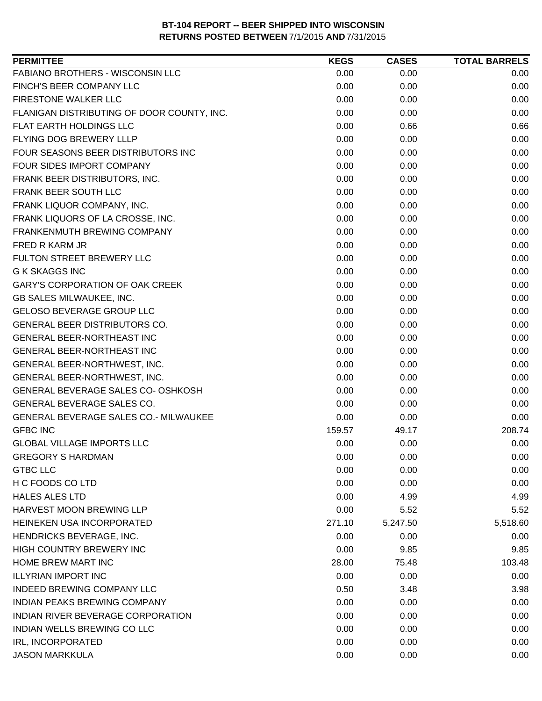| FABIANO BROTHERS - WISCONSIN LLC<br>0.00<br>0.00<br>0.00<br>FINCH'S BEER COMPANY LLC<br>0.00<br>0.00<br>0.00<br>FIRESTONE WALKER LLC<br>0.00<br>0.00<br>0.00<br>FLANIGAN DISTRIBUTING OF DOOR COUNTY, INC.<br>0.00<br>0.00<br>0.00<br>0.66<br>FLAT EARTH HOLDINGS LLC<br>0.00<br>0.66<br>FLYING DOG BREWERY LLLP<br>0.00<br>0.00<br>0.00<br>FOUR SEASONS BEER DISTRIBUTORS INC<br>0.00<br>0.00<br>0.00<br>FOUR SIDES IMPORT COMPANY<br>0.00<br>0.00<br>0.00<br>FRANK BEER DISTRIBUTORS, INC.<br>0.00<br>0.00<br>0.00<br>FRANK BEER SOUTH LLC<br>0.00<br>0.00<br>0.00<br>FRANK LIQUOR COMPANY, INC.<br>0.00<br>0.00<br>0.00<br>FRANK LIQUORS OF LA CROSSE, INC.<br>0.00<br>0.00<br>0.00<br>0.00<br>0.00<br><b>FRANKENMUTH BREWING COMPANY</b><br>0.00<br>FRED R KARM JR<br>0.00<br>0.00<br>0.00<br>FULTON STREET BREWERY LLC<br>0.00<br>0.00<br>0.00<br><b>G K SKAGGS INC</b><br>0.00<br>0.00<br>0.00<br><b>GARY'S CORPORATION OF OAK CREEK</b><br>0.00<br>0.00<br>0.00<br>0.00<br>GB SALES MILWAUKEE, INC.<br>0.00<br>0.00<br>GELOSO BEVERAGE GROUP LLC<br>0.00<br>0.00<br>0.00<br>GENERAL BEER DISTRIBUTORS CO.<br>0.00<br>0.00<br>0.00<br>GENERAL BEER-NORTHEAST INC<br>0.00<br>0.00<br>0.00<br>GENERAL BEER-NORTHEAST INC<br>0.00<br>0.00<br>0.00<br>GENERAL BEER-NORTHWEST, INC.<br>0.00<br>0.00<br>0.00<br>GENERAL BEER-NORTHWEST, INC.<br>0.00<br>0.00<br>0.00<br>0.00<br>0.00<br>0.00<br>GENERAL BEVERAGE SALES CO- OSHKOSH<br>GENERAL BEVERAGE SALES CO.<br>0.00<br>0.00<br>0.00<br>GENERAL BEVERAGE SALES CO.- MILWAUKEE<br>0.00<br>0.00<br>0.00<br><b>GFBC INC</b><br>208.74<br>159.57<br>49.17<br>0.00<br>0.00<br>0.00<br><b>GLOBAL VILLAGE IMPORTS LLC</b><br><b>GREGORY S HARDMAN</b><br>0.00<br>0.00<br>0.00<br><b>GTBC LLC</b><br>0.00<br>0.00<br>0.00<br>H C FOODS CO LTD<br>0.00<br>0.00<br>0.00<br><b>HALES ALES LTD</b><br>0.00<br>4.99<br>4.99<br>HARVEST MOON BREWING LLP<br>0.00<br>5.52<br>5.52<br>HEINEKEN USA INCORPORATED<br>271.10<br>5,518.60<br>5,247.50<br>HENDRICKS BEVERAGE, INC.<br>0.00<br>0.00<br>0.00<br>HIGH COUNTRY BREWERY INC<br>0.00<br>9.85<br>9.85<br>HOME BREW MART INC<br>103.48<br>28.00<br>75.48<br><b>ILLYRIAN IMPORT INC</b><br>0.00<br>0.00<br>0.00<br><b>INDEED BREWING COMPANY LLC</b><br>0.50<br>3.48<br>3.98<br><b>INDIAN PEAKS BREWING COMPANY</b><br>0.00<br>0.00<br>0.00<br>INDIAN RIVER BEVERAGE CORPORATION<br>0.00<br>0.00<br>0.00<br>INDIAN WELLS BREWING CO LLC<br>0.00<br>0.00<br>0.00<br><b>IRL, INCORPORATED</b><br>0.00<br>0.00<br>0.00<br><b>JASON MARKKULA</b><br>0.00<br>0.00<br>0.00 | <b>PERMITTEE</b> | <b>KEGS</b> | <b>CASES</b> | <b>TOTAL BARRELS</b> |
|------------------------------------------------------------------------------------------------------------------------------------------------------------------------------------------------------------------------------------------------------------------------------------------------------------------------------------------------------------------------------------------------------------------------------------------------------------------------------------------------------------------------------------------------------------------------------------------------------------------------------------------------------------------------------------------------------------------------------------------------------------------------------------------------------------------------------------------------------------------------------------------------------------------------------------------------------------------------------------------------------------------------------------------------------------------------------------------------------------------------------------------------------------------------------------------------------------------------------------------------------------------------------------------------------------------------------------------------------------------------------------------------------------------------------------------------------------------------------------------------------------------------------------------------------------------------------------------------------------------------------------------------------------------------------------------------------------------------------------------------------------------------------------------------------------------------------------------------------------------------------------------------------------------------------------------------------------------------------------------------------------------------------------------------------------------------------------------------------------------------------------------------------------------------------------------------------------------------------------------------------------------------------------------------------------------------------------------------------------------------------------------------------------------------------------------------------------------------------------------------------------------------------------------------------------|------------------|-------------|--------------|----------------------|
|                                                                                                                                                                                                                                                                                                                                                                                                                                                                                                                                                                                                                                                                                                                                                                                                                                                                                                                                                                                                                                                                                                                                                                                                                                                                                                                                                                                                                                                                                                                                                                                                                                                                                                                                                                                                                                                                                                                                                                                                                                                                                                                                                                                                                                                                                                                                                                                                                                                                                                                                                            |                  |             |              |                      |
|                                                                                                                                                                                                                                                                                                                                                                                                                                                                                                                                                                                                                                                                                                                                                                                                                                                                                                                                                                                                                                                                                                                                                                                                                                                                                                                                                                                                                                                                                                                                                                                                                                                                                                                                                                                                                                                                                                                                                                                                                                                                                                                                                                                                                                                                                                                                                                                                                                                                                                                                                            |                  |             |              |                      |
|                                                                                                                                                                                                                                                                                                                                                                                                                                                                                                                                                                                                                                                                                                                                                                                                                                                                                                                                                                                                                                                                                                                                                                                                                                                                                                                                                                                                                                                                                                                                                                                                                                                                                                                                                                                                                                                                                                                                                                                                                                                                                                                                                                                                                                                                                                                                                                                                                                                                                                                                                            |                  |             |              |                      |
|                                                                                                                                                                                                                                                                                                                                                                                                                                                                                                                                                                                                                                                                                                                                                                                                                                                                                                                                                                                                                                                                                                                                                                                                                                                                                                                                                                                                                                                                                                                                                                                                                                                                                                                                                                                                                                                                                                                                                                                                                                                                                                                                                                                                                                                                                                                                                                                                                                                                                                                                                            |                  |             |              |                      |
|                                                                                                                                                                                                                                                                                                                                                                                                                                                                                                                                                                                                                                                                                                                                                                                                                                                                                                                                                                                                                                                                                                                                                                                                                                                                                                                                                                                                                                                                                                                                                                                                                                                                                                                                                                                                                                                                                                                                                                                                                                                                                                                                                                                                                                                                                                                                                                                                                                                                                                                                                            |                  |             |              |                      |
|                                                                                                                                                                                                                                                                                                                                                                                                                                                                                                                                                                                                                                                                                                                                                                                                                                                                                                                                                                                                                                                                                                                                                                                                                                                                                                                                                                                                                                                                                                                                                                                                                                                                                                                                                                                                                                                                                                                                                                                                                                                                                                                                                                                                                                                                                                                                                                                                                                                                                                                                                            |                  |             |              |                      |
|                                                                                                                                                                                                                                                                                                                                                                                                                                                                                                                                                                                                                                                                                                                                                                                                                                                                                                                                                                                                                                                                                                                                                                                                                                                                                                                                                                                                                                                                                                                                                                                                                                                                                                                                                                                                                                                                                                                                                                                                                                                                                                                                                                                                                                                                                                                                                                                                                                                                                                                                                            |                  |             |              |                      |
|                                                                                                                                                                                                                                                                                                                                                                                                                                                                                                                                                                                                                                                                                                                                                                                                                                                                                                                                                                                                                                                                                                                                                                                                                                                                                                                                                                                                                                                                                                                                                                                                                                                                                                                                                                                                                                                                                                                                                                                                                                                                                                                                                                                                                                                                                                                                                                                                                                                                                                                                                            |                  |             |              |                      |
|                                                                                                                                                                                                                                                                                                                                                                                                                                                                                                                                                                                                                                                                                                                                                                                                                                                                                                                                                                                                                                                                                                                                                                                                                                                                                                                                                                                                                                                                                                                                                                                                                                                                                                                                                                                                                                                                                                                                                                                                                                                                                                                                                                                                                                                                                                                                                                                                                                                                                                                                                            |                  |             |              |                      |
|                                                                                                                                                                                                                                                                                                                                                                                                                                                                                                                                                                                                                                                                                                                                                                                                                                                                                                                                                                                                                                                                                                                                                                                                                                                                                                                                                                                                                                                                                                                                                                                                                                                                                                                                                                                                                                                                                                                                                                                                                                                                                                                                                                                                                                                                                                                                                                                                                                                                                                                                                            |                  |             |              |                      |
|                                                                                                                                                                                                                                                                                                                                                                                                                                                                                                                                                                                                                                                                                                                                                                                                                                                                                                                                                                                                                                                                                                                                                                                                                                                                                                                                                                                                                                                                                                                                                                                                                                                                                                                                                                                                                                                                                                                                                                                                                                                                                                                                                                                                                                                                                                                                                                                                                                                                                                                                                            |                  |             |              |                      |
|                                                                                                                                                                                                                                                                                                                                                                                                                                                                                                                                                                                                                                                                                                                                                                                                                                                                                                                                                                                                                                                                                                                                                                                                                                                                                                                                                                                                                                                                                                                                                                                                                                                                                                                                                                                                                                                                                                                                                                                                                                                                                                                                                                                                                                                                                                                                                                                                                                                                                                                                                            |                  |             |              |                      |
|                                                                                                                                                                                                                                                                                                                                                                                                                                                                                                                                                                                                                                                                                                                                                                                                                                                                                                                                                                                                                                                                                                                                                                                                                                                                                                                                                                                                                                                                                                                                                                                                                                                                                                                                                                                                                                                                                                                                                                                                                                                                                                                                                                                                                                                                                                                                                                                                                                                                                                                                                            |                  |             |              |                      |
|                                                                                                                                                                                                                                                                                                                                                                                                                                                                                                                                                                                                                                                                                                                                                                                                                                                                                                                                                                                                                                                                                                                                                                                                                                                                                                                                                                                                                                                                                                                                                                                                                                                                                                                                                                                                                                                                                                                                                                                                                                                                                                                                                                                                                                                                                                                                                                                                                                                                                                                                                            |                  |             |              |                      |
|                                                                                                                                                                                                                                                                                                                                                                                                                                                                                                                                                                                                                                                                                                                                                                                                                                                                                                                                                                                                                                                                                                                                                                                                                                                                                                                                                                                                                                                                                                                                                                                                                                                                                                                                                                                                                                                                                                                                                                                                                                                                                                                                                                                                                                                                                                                                                                                                                                                                                                                                                            |                  |             |              |                      |
|                                                                                                                                                                                                                                                                                                                                                                                                                                                                                                                                                                                                                                                                                                                                                                                                                                                                                                                                                                                                                                                                                                                                                                                                                                                                                                                                                                                                                                                                                                                                                                                                                                                                                                                                                                                                                                                                                                                                                                                                                                                                                                                                                                                                                                                                                                                                                                                                                                                                                                                                                            |                  |             |              |                      |
|                                                                                                                                                                                                                                                                                                                                                                                                                                                                                                                                                                                                                                                                                                                                                                                                                                                                                                                                                                                                                                                                                                                                                                                                                                                                                                                                                                                                                                                                                                                                                                                                                                                                                                                                                                                                                                                                                                                                                                                                                                                                                                                                                                                                                                                                                                                                                                                                                                                                                                                                                            |                  |             |              |                      |
|                                                                                                                                                                                                                                                                                                                                                                                                                                                                                                                                                                                                                                                                                                                                                                                                                                                                                                                                                                                                                                                                                                                                                                                                                                                                                                                                                                                                                                                                                                                                                                                                                                                                                                                                                                                                                                                                                                                                                                                                                                                                                                                                                                                                                                                                                                                                                                                                                                                                                                                                                            |                  |             |              |                      |
|                                                                                                                                                                                                                                                                                                                                                                                                                                                                                                                                                                                                                                                                                                                                                                                                                                                                                                                                                                                                                                                                                                                                                                                                                                                                                                                                                                                                                                                                                                                                                                                                                                                                                                                                                                                                                                                                                                                                                                                                                                                                                                                                                                                                                                                                                                                                                                                                                                                                                                                                                            |                  |             |              |                      |
|                                                                                                                                                                                                                                                                                                                                                                                                                                                                                                                                                                                                                                                                                                                                                                                                                                                                                                                                                                                                                                                                                                                                                                                                                                                                                                                                                                                                                                                                                                                                                                                                                                                                                                                                                                                                                                                                                                                                                                                                                                                                                                                                                                                                                                                                                                                                                                                                                                                                                                                                                            |                  |             |              |                      |
|                                                                                                                                                                                                                                                                                                                                                                                                                                                                                                                                                                                                                                                                                                                                                                                                                                                                                                                                                                                                                                                                                                                                                                                                                                                                                                                                                                                                                                                                                                                                                                                                                                                                                                                                                                                                                                                                                                                                                                                                                                                                                                                                                                                                                                                                                                                                                                                                                                                                                                                                                            |                  |             |              |                      |
|                                                                                                                                                                                                                                                                                                                                                                                                                                                                                                                                                                                                                                                                                                                                                                                                                                                                                                                                                                                                                                                                                                                                                                                                                                                                                                                                                                                                                                                                                                                                                                                                                                                                                                                                                                                                                                                                                                                                                                                                                                                                                                                                                                                                                                                                                                                                                                                                                                                                                                                                                            |                  |             |              |                      |
|                                                                                                                                                                                                                                                                                                                                                                                                                                                                                                                                                                                                                                                                                                                                                                                                                                                                                                                                                                                                                                                                                                                                                                                                                                                                                                                                                                                                                                                                                                                                                                                                                                                                                                                                                                                                                                                                                                                                                                                                                                                                                                                                                                                                                                                                                                                                                                                                                                                                                                                                                            |                  |             |              |                      |
|                                                                                                                                                                                                                                                                                                                                                                                                                                                                                                                                                                                                                                                                                                                                                                                                                                                                                                                                                                                                                                                                                                                                                                                                                                                                                                                                                                                                                                                                                                                                                                                                                                                                                                                                                                                                                                                                                                                                                                                                                                                                                                                                                                                                                                                                                                                                                                                                                                                                                                                                                            |                  |             |              |                      |
|                                                                                                                                                                                                                                                                                                                                                                                                                                                                                                                                                                                                                                                                                                                                                                                                                                                                                                                                                                                                                                                                                                                                                                                                                                                                                                                                                                                                                                                                                                                                                                                                                                                                                                                                                                                                                                                                                                                                                                                                                                                                                                                                                                                                                                                                                                                                                                                                                                                                                                                                                            |                  |             |              |                      |
|                                                                                                                                                                                                                                                                                                                                                                                                                                                                                                                                                                                                                                                                                                                                                                                                                                                                                                                                                                                                                                                                                                                                                                                                                                                                                                                                                                                                                                                                                                                                                                                                                                                                                                                                                                                                                                                                                                                                                                                                                                                                                                                                                                                                                                                                                                                                                                                                                                                                                                                                                            |                  |             |              |                      |
|                                                                                                                                                                                                                                                                                                                                                                                                                                                                                                                                                                                                                                                                                                                                                                                                                                                                                                                                                                                                                                                                                                                                                                                                                                                                                                                                                                                                                                                                                                                                                                                                                                                                                                                                                                                                                                                                                                                                                                                                                                                                                                                                                                                                                                                                                                                                                                                                                                                                                                                                                            |                  |             |              |                      |
|                                                                                                                                                                                                                                                                                                                                                                                                                                                                                                                                                                                                                                                                                                                                                                                                                                                                                                                                                                                                                                                                                                                                                                                                                                                                                                                                                                                                                                                                                                                                                                                                                                                                                                                                                                                                                                                                                                                                                                                                                                                                                                                                                                                                                                                                                                                                                                                                                                                                                                                                                            |                  |             |              |                      |
|                                                                                                                                                                                                                                                                                                                                                                                                                                                                                                                                                                                                                                                                                                                                                                                                                                                                                                                                                                                                                                                                                                                                                                                                                                                                                                                                                                                                                                                                                                                                                                                                                                                                                                                                                                                                                                                                                                                                                                                                                                                                                                                                                                                                                                                                                                                                                                                                                                                                                                                                                            |                  |             |              |                      |
|                                                                                                                                                                                                                                                                                                                                                                                                                                                                                                                                                                                                                                                                                                                                                                                                                                                                                                                                                                                                                                                                                                                                                                                                                                                                                                                                                                                                                                                                                                                                                                                                                                                                                                                                                                                                                                                                                                                                                                                                                                                                                                                                                                                                                                                                                                                                                                                                                                                                                                                                                            |                  |             |              |                      |
|                                                                                                                                                                                                                                                                                                                                                                                                                                                                                                                                                                                                                                                                                                                                                                                                                                                                                                                                                                                                                                                                                                                                                                                                                                                                                                                                                                                                                                                                                                                                                                                                                                                                                                                                                                                                                                                                                                                                                                                                                                                                                                                                                                                                                                                                                                                                                                                                                                                                                                                                                            |                  |             |              |                      |
|                                                                                                                                                                                                                                                                                                                                                                                                                                                                                                                                                                                                                                                                                                                                                                                                                                                                                                                                                                                                                                                                                                                                                                                                                                                                                                                                                                                                                                                                                                                                                                                                                                                                                                                                                                                                                                                                                                                                                                                                                                                                                                                                                                                                                                                                                                                                                                                                                                                                                                                                                            |                  |             |              |                      |
|                                                                                                                                                                                                                                                                                                                                                                                                                                                                                                                                                                                                                                                                                                                                                                                                                                                                                                                                                                                                                                                                                                                                                                                                                                                                                                                                                                                                                                                                                                                                                                                                                                                                                                                                                                                                                                                                                                                                                                                                                                                                                                                                                                                                                                                                                                                                                                                                                                                                                                                                                            |                  |             |              |                      |
|                                                                                                                                                                                                                                                                                                                                                                                                                                                                                                                                                                                                                                                                                                                                                                                                                                                                                                                                                                                                                                                                                                                                                                                                                                                                                                                                                                                                                                                                                                                                                                                                                                                                                                                                                                                                                                                                                                                                                                                                                                                                                                                                                                                                                                                                                                                                                                                                                                                                                                                                                            |                  |             |              |                      |
|                                                                                                                                                                                                                                                                                                                                                                                                                                                                                                                                                                                                                                                                                                                                                                                                                                                                                                                                                                                                                                                                                                                                                                                                                                                                                                                                                                                                                                                                                                                                                                                                                                                                                                                                                                                                                                                                                                                                                                                                                                                                                                                                                                                                                                                                                                                                                                                                                                                                                                                                                            |                  |             |              |                      |
|                                                                                                                                                                                                                                                                                                                                                                                                                                                                                                                                                                                                                                                                                                                                                                                                                                                                                                                                                                                                                                                                                                                                                                                                                                                                                                                                                                                                                                                                                                                                                                                                                                                                                                                                                                                                                                                                                                                                                                                                                                                                                                                                                                                                                                                                                                                                                                                                                                                                                                                                                            |                  |             |              |                      |
|                                                                                                                                                                                                                                                                                                                                                                                                                                                                                                                                                                                                                                                                                                                                                                                                                                                                                                                                                                                                                                                                                                                                                                                                                                                                                                                                                                                                                                                                                                                                                                                                                                                                                                                                                                                                                                                                                                                                                                                                                                                                                                                                                                                                                                                                                                                                                                                                                                                                                                                                                            |                  |             |              |                      |
|                                                                                                                                                                                                                                                                                                                                                                                                                                                                                                                                                                                                                                                                                                                                                                                                                                                                                                                                                                                                                                                                                                                                                                                                                                                                                                                                                                                                                                                                                                                                                                                                                                                                                                                                                                                                                                                                                                                                                                                                                                                                                                                                                                                                                                                                                                                                                                                                                                                                                                                                                            |                  |             |              |                      |
|                                                                                                                                                                                                                                                                                                                                                                                                                                                                                                                                                                                                                                                                                                                                                                                                                                                                                                                                                                                                                                                                                                                                                                                                                                                                                                                                                                                                                                                                                                                                                                                                                                                                                                                                                                                                                                                                                                                                                                                                                                                                                                                                                                                                                                                                                                                                                                                                                                                                                                                                                            |                  |             |              |                      |
|                                                                                                                                                                                                                                                                                                                                                                                                                                                                                                                                                                                                                                                                                                                                                                                                                                                                                                                                                                                                                                                                                                                                                                                                                                                                                                                                                                                                                                                                                                                                                                                                                                                                                                                                                                                                                                                                                                                                                                                                                                                                                                                                                                                                                                                                                                                                                                                                                                                                                                                                                            |                  |             |              |                      |
|                                                                                                                                                                                                                                                                                                                                                                                                                                                                                                                                                                                                                                                                                                                                                                                                                                                                                                                                                                                                                                                                                                                                                                                                                                                                                                                                                                                                                                                                                                                                                                                                                                                                                                                                                                                                                                                                                                                                                                                                                                                                                                                                                                                                                                                                                                                                                                                                                                                                                                                                                            |                  |             |              |                      |
|                                                                                                                                                                                                                                                                                                                                                                                                                                                                                                                                                                                                                                                                                                                                                                                                                                                                                                                                                                                                                                                                                                                                                                                                                                                                                                                                                                                                                                                                                                                                                                                                                                                                                                                                                                                                                                                                                                                                                                                                                                                                                                                                                                                                                                                                                                                                                                                                                                                                                                                                                            |                  |             |              |                      |
|                                                                                                                                                                                                                                                                                                                                                                                                                                                                                                                                                                                                                                                                                                                                                                                                                                                                                                                                                                                                                                                                                                                                                                                                                                                                                                                                                                                                                                                                                                                                                                                                                                                                                                                                                                                                                                                                                                                                                                                                                                                                                                                                                                                                                                                                                                                                                                                                                                                                                                                                                            |                  |             |              |                      |
|                                                                                                                                                                                                                                                                                                                                                                                                                                                                                                                                                                                                                                                                                                                                                                                                                                                                                                                                                                                                                                                                                                                                                                                                                                                                                                                                                                                                                                                                                                                                                                                                                                                                                                                                                                                                                                                                                                                                                                                                                                                                                                                                                                                                                                                                                                                                                                                                                                                                                                                                                            |                  |             |              |                      |
|                                                                                                                                                                                                                                                                                                                                                                                                                                                                                                                                                                                                                                                                                                                                                                                                                                                                                                                                                                                                                                                                                                                                                                                                                                                                                                                                                                                                                                                                                                                                                                                                                                                                                                                                                                                                                                                                                                                                                                                                                                                                                                                                                                                                                                                                                                                                                                                                                                                                                                                                                            |                  |             |              |                      |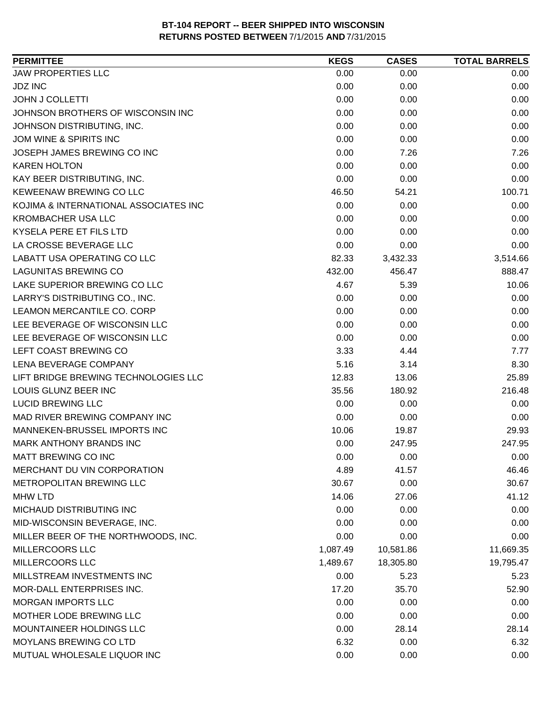| 0.00<br>0.00<br>0.00<br>0.00<br>0.00<br>0.00<br>0.00<br>0.00<br>0.00<br>0.00<br>0.00<br>0.00<br>0.00<br>0.00<br>0.00<br>0.00<br>0.00<br>0.00<br>0.00<br>7.26<br>7.26<br>0.00<br>0.00<br>0.00<br>0.00<br>0.00<br>0.00<br>100.71<br>46.50<br>54.21<br>0.00<br>0.00<br>0.00<br>0.00<br>0.00<br>0.00<br>0.00<br>0.00<br>0.00<br>0.00<br>0.00<br>0.00<br>82.33<br>3,432.33<br>3,514.66<br>888.47<br>432.00<br>456.47<br>4.67<br>10.06<br>5.39<br>0.00<br>0.00<br>0.00<br>0.00<br>0.00<br>0.00<br>0.00<br>0.00<br>0.00<br>0.00<br>0.00<br>0.00<br>3.33<br>4.44<br>7.77<br>5.16<br>8.30<br>3.14<br>12.83<br>25.89<br>13.06<br>216.48<br>180.92<br>35.56<br>0.00<br>0.00<br>0.00<br>0.00<br>0.00<br>0.00<br>10.06<br>19.87<br>29.93<br>MARK ANTHONY BRANDS INC<br>0.00<br>247.95<br>247.95<br>0.00<br>0.00<br>0.00<br>4.89<br>46.46<br>41.57<br>30.67<br>30.67<br>0.00<br>14.06<br>27.06<br>41.12<br>0.00<br>0.00<br>0.00<br>0.00<br>0.00<br>0.00<br>0.00<br>0.00<br>0.00<br>10,581.86<br>1,087.49<br>11,669.35<br>1,489.67<br>18,305.80<br>19,795.47<br>0.00<br>5.23<br>5.23<br>17.20<br>35.70<br>52.90<br>0.00<br>0.00<br>0.00<br>0.00<br>0.00<br>0.00<br>0.00<br>28.14<br>28.14<br>6.32<br>6.32<br>0.00 | <b>PERMITTEE</b>                      | <b>KEGS</b> | <b>CASES</b> | <b>TOTAL BARRELS</b> |
|----------------------------------------------------------------------------------------------------------------------------------------------------------------------------------------------------------------------------------------------------------------------------------------------------------------------------------------------------------------------------------------------------------------------------------------------------------------------------------------------------------------------------------------------------------------------------------------------------------------------------------------------------------------------------------------------------------------------------------------------------------------------------------------------------------------------------------------------------------------------------------------------------------------------------------------------------------------------------------------------------------------------------------------------------------------------------------------------------------------------------------------------------------------------------------------------------|---------------------------------------|-------------|--------------|----------------------|
|                                                                                                                                                                                                                                                                                                                                                                                                                                                                                                                                                                                                                                                                                                                                                                                                                                                                                                                                                                                                                                                                                                                                                                                                    | <b>JAW PROPERTIES LLC</b>             |             |              |                      |
|                                                                                                                                                                                                                                                                                                                                                                                                                                                                                                                                                                                                                                                                                                                                                                                                                                                                                                                                                                                                                                                                                                                                                                                                    | <b>JDZ INC</b>                        |             |              |                      |
|                                                                                                                                                                                                                                                                                                                                                                                                                                                                                                                                                                                                                                                                                                                                                                                                                                                                                                                                                                                                                                                                                                                                                                                                    | <b>JOHN J COLLETTI</b>                |             |              |                      |
|                                                                                                                                                                                                                                                                                                                                                                                                                                                                                                                                                                                                                                                                                                                                                                                                                                                                                                                                                                                                                                                                                                                                                                                                    | JOHNSON BROTHERS OF WISCONSIN INC     |             |              |                      |
|                                                                                                                                                                                                                                                                                                                                                                                                                                                                                                                                                                                                                                                                                                                                                                                                                                                                                                                                                                                                                                                                                                                                                                                                    | JOHNSON DISTRIBUTING, INC.            |             |              |                      |
|                                                                                                                                                                                                                                                                                                                                                                                                                                                                                                                                                                                                                                                                                                                                                                                                                                                                                                                                                                                                                                                                                                                                                                                                    | JOM WINE & SPIRITS INC                |             |              |                      |
|                                                                                                                                                                                                                                                                                                                                                                                                                                                                                                                                                                                                                                                                                                                                                                                                                                                                                                                                                                                                                                                                                                                                                                                                    | JOSEPH JAMES BREWING CO INC           |             |              |                      |
|                                                                                                                                                                                                                                                                                                                                                                                                                                                                                                                                                                                                                                                                                                                                                                                                                                                                                                                                                                                                                                                                                                                                                                                                    | <b>KAREN HOLTON</b>                   |             |              |                      |
|                                                                                                                                                                                                                                                                                                                                                                                                                                                                                                                                                                                                                                                                                                                                                                                                                                                                                                                                                                                                                                                                                                                                                                                                    | KAY BEER DISTRIBUTING, INC.           |             |              |                      |
|                                                                                                                                                                                                                                                                                                                                                                                                                                                                                                                                                                                                                                                                                                                                                                                                                                                                                                                                                                                                                                                                                                                                                                                                    | KEWEENAW BREWING CO LLC               |             |              |                      |
|                                                                                                                                                                                                                                                                                                                                                                                                                                                                                                                                                                                                                                                                                                                                                                                                                                                                                                                                                                                                                                                                                                                                                                                                    | KOJIMA & INTERNATIONAL ASSOCIATES INC |             |              |                      |
|                                                                                                                                                                                                                                                                                                                                                                                                                                                                                                                                                                                                                                                                                                                                                                                                                                                                                                                                                                                                                                                                                                                                                                                                    | <b>KROMBACHER USA LLC</b>             |             |              |                      |
|                                                                                                                                                                                                                                                                                                                                                                                                                                                                                                                                                                                                                                                                                                                                                                                                                                                                                                                                                                                                                                                                                                                                                                                                    | KYSELA PERE ET FILS LTD               |             |              |                      |
|                                                                                                                                                                                                                                                                                                                                                                                                                                                                                                                                                                                                                                                                                                                                                                                                                                                                                                                                                                                                                                                                                                                                                                                                    | LA CROSSE BEVERAGE LLC                |             |              |                      |
|                                                                                                                                                                                                                                                                                                                                                                                                                                                                                                                                                                                                                                                                                                                                                                                                                                                                                                                                                                                                                                                                                                                                                                                                    | LABATT USA OPERATING CO LLC           |             |              |                      |
|                                                                                                                                                                                                                                                                                                                                                                                                                                                                                                                                                                                                                                                                                                                                                                                                                                                                                                                                                                                                                                                                                                                                                                                                    | <b>LAGUNITAS BREWING CO</b>           |             |              |                      |
|                                                                                                                                                                                                                                                                                                                                                                                                                                                                                                                                                                                                                                                                                                                                                                                                                                                                                                                                                                                                                                                                                                                                                                                                    | LAKE SUPERIOR BREWING CO LLC          |             |              |                      |
|                                                                                                                                                                                                                                                                                                                                                                                                                                                                                                                                                                                                                                                                                                                                                                                                                                                                                                                                                                                                                                                                                                                                                                                                    | LARRY'S DISTRIBUTING CO., INC.        |             |              |                      |
|                                                                                                                                                                                                                                                                                                                                                                                                                                                                                                                                                                                                                                                                                                                                                                                                                                                                                                                                                                                                                                                                                                                                                                                                    | LEAMON MERCANTILE CO. CORP            |             |              |                      |
|                                                                                                                                                                                                                                                                                                                                                                                                                                                                                                                                                                                                                                                                                                                                                                                                                                                                                                                                                                                                                                                                                                                                                                                                    | LEE BEVERAGE OF WISCONSIN LLC         |             |              |                      |
|                                                                                                                                                                                                                                                                                                                                                                                                                                                                                                                                                                                                                                                                                                                                                                                                                                                                                                                                                                                                                                                                                                                                                                                                    | LEE BEVERAGE OF WISCONSIN LLC         |             |              |                      |
|                                                                                                                                                                                                                                                                                                                                                                                                                                                                                                                                                                                                                                                                                                                                                                                                                                                                                                                                                                                                                                                                                                                                                                                                    | LEFT COAST BREWING CO                 |             |              |                      |
|                                                                                                                                                                                                                                                                                                                                                                                                                                                                                                                                                                                                                                                                                                                                                                                                                                                                                                                                                                                                                                                                                                                                                                                                    | LENA BEVERAGE COMPANY                 |             |              |                      |
|                                                                                                                                                                                                                                                                                                                                                                                                                                                                                                                                                                                                                                                                                                                                                                                                                                                                                                                                                                                                                                                                                                                                                                                                    | LIFT BRIDGE BREWING TECHNOLOGIES LLC  |             |              |                      |
|                                                                                                                                                                                                                                                                                                                                                                                                                                                                                                                                                                                                                                                                                                                                                                                                                                                                                                                                                                                                                                                                                                                                                                                                    | LOUIS GLUNZ BEER INC                  |             |              |                      |
|                                                                                                                                                                                                                                                                                                                                                                                                                                                                                                                                                                                                                                                                                                                                                                                                                                                                                                                                                                                                                                                                                                                                                                                                    | <b>LUCID BREWING LLC</b>              |             |              |                      |
|                                                                                                                                                                                                                                                                                                                                                                                                                                                                                                                                                                                                                                                                                                                                                                                                                                                                                                                                                                                                                                                                                                                                                                                                    | MAD RIVER BREWING COMPANY INC         |             |              |                      |
|                                                                                                                                                                                                                                                                                                                                                                                                                                                                                                                                                                                                                                                                                                                                                                                                                                                                                                                                                                                                                                                                                                                                                                                                    | MANNEKEN-BRUSSEL IMPORTS INC          |             |              |                      |
|                                                                                                                                                                                                                                                                                                                                                                                                                                                                                                                                                                                                                                                                                                                                                                                                                                                                                                                                                                                                                                                                                                                                                                                                    |                                       |             |              |                      |
|                                                                                                                                                                                                                                                                                                                                                                                                                                                                                                                                                                                                                                                                                                                                                                                                                                                                                                                                                                                                                                                                                                                                                                                                    | MATT BREWING CO INC                   |             |              |                      |
|                                                                                                                                                                                                                                                                                                                                                                                                                                                                                                                                                                                                                                                                                                                                                                                                                                                                                                                                                                                                                                                                                                                                                                                                    | MERCHANT DU VIN CORPORATION           |             |              |                      |
|                                                                                                                                                                                                                                                                                                                                                                                                                                                                                                                                                                                                                                                                                                                                                                                                                                                                                                                                                                                                                                                                                                                                                                                                    | METROPOLITAN BREWING LLC              |             |              |                      |
|                                                                                                                                                                                                                                                                                                                                                                                                                                                                                                                                                                                                                                                                                                                                                                                                                                                                                                                                                                                                                                                                                                                                                                                                    | <b>MHW LTD</b>                        |             |              |                      |
|                                                                                                                                                                                                                                                                                                                                                                                                                                                                                                                                                                                                                                                                                                                                                                                                                                                                                                                                                                                                                                                                                                                                                                                                    | MICHAUD DISTRIBUTING INC              |             |              |                      |
|                                                                                                                                                                                                                                                                                                                                                                                                                                                                                                                                                                                                                                                                                                                                                                                                                                                                                                                                                                                                                                                                                                                                                                                                    | MID-WISCONSIN BEVERAGE, INC.          |             |              |                      |
|                                                                                                                                                                                                                                                                                                                                                                                                                                                                                                                                                                                                                                                                                                                                                                                                                                                                                                                                                                                                                                                                                                                                                                                                    | MILLER BEER OF THE NORTHWOODS, INC.   |             |              |                      |
|                                                                                                                                                                                                                                                                                                                                                                                                                                                                                                                                                                                                                                                                                                                                                                                                                                                                                                                                                                                                                                                                                                                                                                                                    | MILLERCOORS LLC                       |             |              |                      |
|                                                                                                                                                                                                                                                                                                                                                                                                                                                                                                                                                                                                                                                                                                                                                                                                                                                                                                                                                                                                                                                                                                                                                                                                    | <b>MILLERCOORS LLC</b>                |             |              |                      |
|                                                                                                                                                                                                                                                                                                                                                                                                                                                                                                                                                                                                                                                                                                                                                                                                                                                                                                                                                                                                                                                                                                                                                                                                    | MILLSTREAM INVESTMENTS INC            |             |              |                      |
|                                                                                                                                                                                                                                                                                                                                                                                                                                                                                                                                                                                                                                                                                                                                                                                                                                                                                                                                                                                                                                                                                                                                                                                                    | MOR-DALL ENTERPRISES INC.             |             |              |                      |
|                                                                                                                                                                                                                                                                                                                                                                                                                                                                                                                                                                                                                                                                                                                                                                                                                                                                                                                                                                                                                                                                                                                                                                                                    | <b>MORGAN IMPORTS LLC</b>             |             |              |                      |
|                                                                                                                                                                                                                                                                                                                                                                                                                                                                                                                                                                                                                                                                                                                                                                                                                                                                                                                                                                                                                                                                                                                                                                                                    | MOTHER LODE BREWING LLC               |             |              |                      |
|                                                                                                                                                                                                                                                                                                                                                                                                                                                                                                                                                                                                                                                                                                                                                                                                                                                                                                                                                                                                                                                                                                                                                                                                    | MOUNTAINEER HOLDINGS LLC              |             |              |                      |
|                                                                                                                                                                                                                                                                                                                                                                                                                                                                                                                                                                                                                                                                                                                                                                                                                                                                                                                                                                                                                                                                                                                                                                                                    | <b>MOYLANS BREWING CO LTD</b>         |             |              |                      |
| 0.00<br>0.00<br>0.00                                                                                                                                                                                                                                                                                                                                                                                                                                                                                                                                                                                                                                                                                                                                                                                                                                                                                                                                                                                                                                                                                                                                                                               | MUTUAL WHOLESALE LIQUOR INC           |             |              |                      |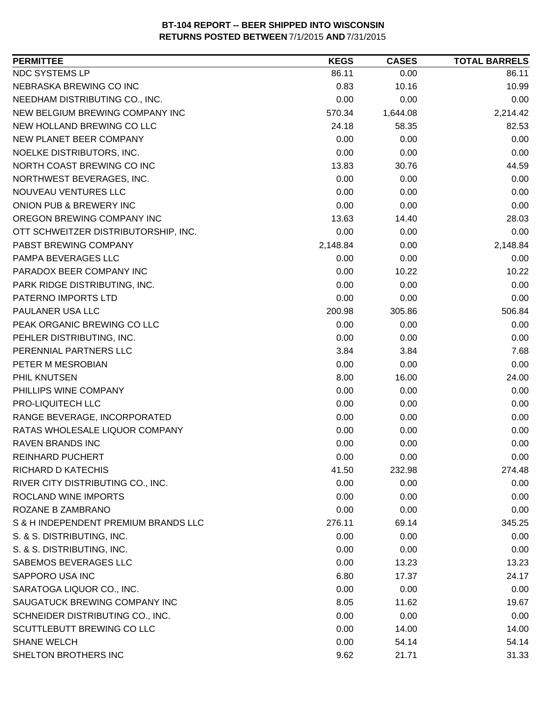| <b>PERMITTEE</b>                     | <b>KEGS</b> | <b>CASES</b> | <b>TOTAL BARRELS</b> |
|--------------------------------------|-------------|--------------|----------------------|
| NDC SYSTEMS LP                       | 86.11       | 0.00         | 86.11                |
| NEBRASKA BREWING CO INC              | 0.83        | 10.16        | 10.99                |
| NEEDHAM DISTRIBUTING CO., INC.       | 0.00        | 0.00         | 0.00                 |
| NEW BELGIUM BREWING COMPANY INC      | 570.34      | 1,644.08     | 2,214.42             |
| NEW HOLLAND BREWING CO LLC           | 24.18       | 58.35        | 82.53                |
| NEW PLANET BEER COMPANY              | 0.00        | 0.00         | 0.00                 |
| NOELKE DISTRIBUTORS, INC.            | 0.00        | 0.00         | 0.00                 |
| NORTH COAST BREWING CO INC           | 13.83       | 30.76        | 44.59                |
| NORTHWEST BEVERAGES, INC.            | 0.00        | 0.00         | 0.00                 |
| NOUVEAU VENTURES LLC                 | 0.00        | 0.00         | 0.00                 |
| ONION PUB & BREWERY INC              | 0.00        | 0.00         | 0.00                 |
| OREGON BREWING COMPANY INC           | 13.63       | 14.40        | 28.03                |
| OTT SCHWEITZER DISTRIBUTORSHIP, INC. | 0.00        | 0.00         | 0.00                 |
| PABST BREWING COMPANY                | 2,148.84    | 0.00         | 2,148.84             |
| PAMPA BEVERAGES LLC                  | 0.00        | 0.00         | 0.00                 |
| PARADOX BEER COMPANY INC             | 0.00        | 10.22        | 10.22                |
| PARK RIDGE DISTRIBUTING, INC.        | 0.00        | 0.00         | 0.00                 |
| PATERNO IMPORTS LTD                  | 0.00        | 0.00         | 0.00                 |
| PAULANER USA LLC                     | 200.98      | 305.86       | 506.84               |
| PEAK ORGANIC BREWING CO LLC          | 0.00        | 0.00         | 0.00                 |
| PEHLER DISTRIBUTING, INC.            | 0.00        | 0.00         | 0.00                 |
| PERENNIAL PARTNERS LLC               | 3.84        | 3.84         | 7.68                 |
| PETER M MESROBIAN                    | 0.00        | 0.00         | 0.00                 |
| PHIL KNUTSEN                         | 8.00        | 16.00        | 24.00                |
| PHILLIPS WINE COMPANY                | 0.00        | 0.00         | 0.00                 |
| PRO-LIQUITECH LLC                    | 0.00        | 0.00         | 0.00                 |
| RANGE BEVERAGE, INCORPORATED         | 0.00        | 0.00         | 0.00                 |
| RATAS WHOLESALE LIQUOR COMPANY       | 0.00        | 0.00         | 0.00                 |
| <b>RAVEN BRANDS INC</b>              | 0.00        | 0.00         | 0.00                 |
| <b>REINHARD PUCHERT</b>              | 0.00        | 0.00         | 0.00                 |
| RICHARD D KATECHIS                   | 41.50       | 232.98       | 274.48               |
| RIVER CITY DISTRIBUTING CO., INC.    | 0.00        | 0.00         | 0.00                 |
| ROCLAND WINE IMPORTS                 | 0.00        | 0.00         | 0.00                 |
| ROZANE B ZAMBRANO                    | 0.00        | 0.00         | 0.00                 |
| S & H INDEPENDENT PREMIUM BRANDS LLC | 276.11      | 69.14        | 345.25               |
| S. & S. DISTRIBUTING, INC.           | 0.00        | 0.00         | 0.00                 |
| S. & S. DISTRIBUTING, INC.           | 0.00        | 0.00         | 0.00                 |
| SABEMOS BEVERAGES LLC                | 0.00        | 13.23        | 13.23                |
| SAPPORO USA INC                      | 6.80        | 17.37        | 24.17                |
| SARATOGA LIQUOR CO., INC.            | 0.00        | 0.00         | 0.00                 |
| SAUGATUCK BREWING COMPANY INC        | 8.05        | 11.62        | 19.67                |
| SCHNEIDER DISTRIBUTING CO., INC.     | 0.00        | 0.00         | 0.00                 |
| SCUTTLEBUTT BREWING CO LLC           | 0.00        | 14.00        | 14.00                |
| <b>SHANE WELCH</b>                   | 0.00        | 54.14        | 54.14                |
| SHELTON BROTHERS INC                 | 9.62        | 21.71        | 31.33                |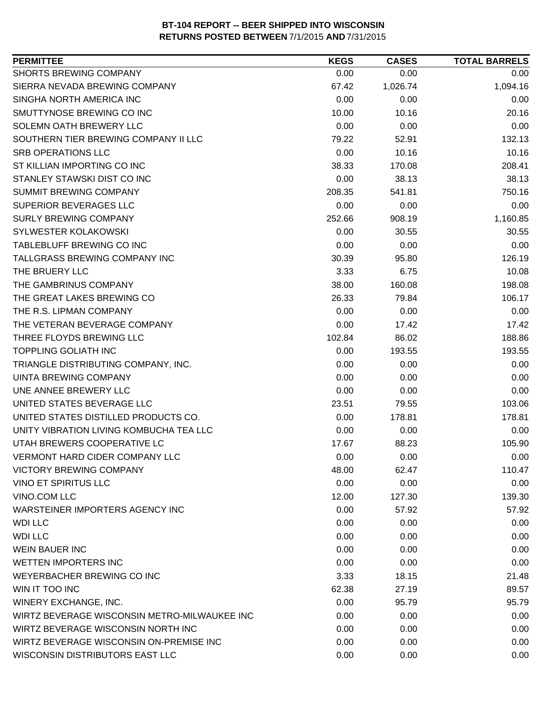| <b>PERMITTEE</b>                             | <b>KEGS</b> | <b>CASES</b> | <b>TOTAL BARRELS</b> |
|----------------------------------------------|-------------|--------------|----------------------|
| <b>SHORTS BREWING COMPANY</b>                | 0.00        | 0.00         | 0.00                 |
| SIERRA NEVADA BREWING COMPANY                | 67.42       | 1,026.74     | 1,094.16             |
| SINGHA NORTH AMERICA INC                     | 0.00        | 0.00         | 0.00                 |
| SMUTTYNOSE BREWING CO INC                    | 10.00       | 10.16        | 20.16                |
| SOLEMN OATH BREWERY LLC                      | 0.00        | 0.00         | 0.00                 |
| SOUTHERN TIER BREWING COMPANY II LLC         | 79.22       | 52.91        | 132.13               |
| <b>SRB OPERATIONS LLC</b>                    | 0.00        | 10.16        | 10.16                |
| ST KILLIAN IMPORTING CO INC                  | 38.33       | 170.08       | 208.41               |
| STANLEY STAWSKI DIST CO INC                  | 0.00        | 38.13        | 38.13                |
| SUMMIT BREWING COMPANY                       | 208.35      | 541.81       | 750.16               |
| SUPERIOR BEVERAGES LLC                       | 0.00        | 0.00         | 0.00                 |
| <b>SURLY BREWING COMPANY</b>                 | 252.66      | 908.19       | 1,160.85             |
| <b>SYLWESTER KOLAKOWSKI</b>                  | 0.00        | 30.55        | 30.55                |
| TABLEBLUFF BREWING CO INC                    | 0.00        | 0.00         | 0.00                 |
| TALLGRASS BREWING COMPANY INC                | 30.39       | 95.80        | 126.19               |
| THE BRUERY LLC                               | 3.33        | 6.75         | 10.08                |
| THE GAMBRINUS COMPANY                        | 38.00       | 160.08       | 198.08               |
| THE GREAT LAKES BREWING CO                   | 26.33       | 79.84        | 106.17               |
| THE R.S. LIPMAN COMPANY                      | 0.00        | 0.00         | 0.00                 |
| THE VETERAN BEVERAGE COMPANY                 | 0.00        | 17.42        | 17.42                |
| THREE FLOYDS BREWING LLC                     | 102.84      | 86.02        | 188.86               |
| <b>TOPPLING GOLIATH INC</b>                  | 0.00        | 193.55       | 193.55               |
| TRIANGLE DISTRIBUTING COMPANY, INC.          | 0.00        | 0.00         | 0.00                 |
| <b>UINTA BREWING COMPANY</b>                 | 0.00        | 0.00         | 0.00                 |
| UNE ANNEE BREWERY LLC                        | 0.00        | 0.00         | 0.00                 |
| UNITED STATES BEVERAGE LLC                   | 23.51       | 79.55        | 103.06               |
| UNITED STATES DISTILLED PRODUCTS CO.         | 0.00        | 178.81       | 178.81               |
| UNITY VIBRATION LIVING KOMBUCHA TEA LLC      | 0.00        | 0.00         | 0.00                 |
| UTAH BREWERS COOPERATIVE LC                  | 17.67       | 88.23        | 105.90               |
| <b>VERMONT HARD CIDER COMPANY LLC</b>        | 0.00        | 0.00         | 0.00                 |
| <b>VICTORY BREWING COMPANY</b>               | 48.00       | 62.47        | 110.47               |
| <b>VINO ET SPIRITUS LLC</b>                  | 0.00        | 0.00         | 0.00                 |
| VINO.COM LLC                                 | 12.00       | 127.30       | 139.30               |
| WARSTEINER IMPORTERS AGENCY INC              | 0.00        | 57.92        | 57.92                |
| <b>WDI LLC</b>                               | 0.00        | 0.00         | 0.00                 |
| <b>WDI LLC</b>                               | 0.00        | 0.00         | 0.00                 |
| <b>WEIN BAUER INC</b>                        | 0.00        | 0.00         | 0.00                 |
| <b>WETTEN IMPORTERS INC</b>                  | 0.00        | 0.00         | 0.00                 |
| WEYERBACHER BREWING CO INC                   | 3.33        | 18.15        | 21.48                |
| WIN IT TOO INC                               | 62.38       | 27.19        | 89.57                |
| WINERY EXCHANGE, INC.                        | 0.00        | 95.79        | 95.79                |
| WIRTZ BEVERAGE WISCONSIN METRO-MILWAUKEE INC | 0.00        | 0.00         | 0.00                 |
| WIRTZ BEVERAGE WISCONSIN NORTH INC           | 0.00        | 0.00         | 0.00                 |
| WIRTZ BEVERAGE WISCONSIN ON-PREMISE INC      | 0.00        | 0.00         | 0.00                 |
| WISCONSIN DISTRIBUTORS EAST LLC              | 0.00        | 0.00         | 0.00                 |